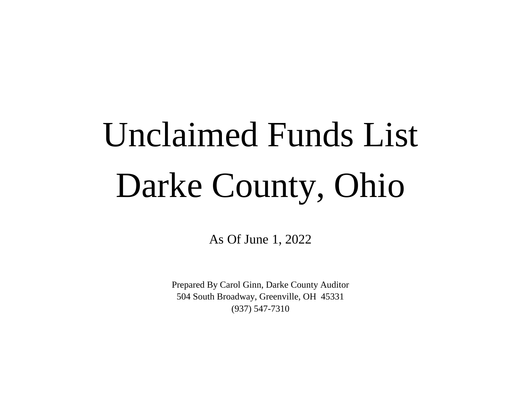## Unclaimed Funds List Darke County, Ohio

As Of June 1, 2022

504 South Broadway, Greenville, OH 45331 (937) 547-7310 Prepared By Carol Ginn, Darke County Auditor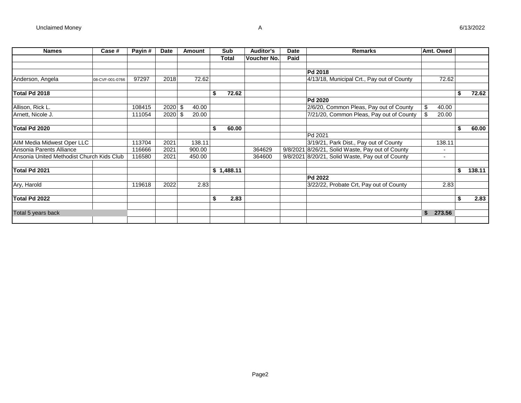| <b>Names</b>                              | Case #          | Payin# | <b>Date</b> | Amount | Sub          | <b>Auditor's</b> | <b>Date</b> | <b>Remarks</b>                                   |    | Amt. Owed |              |
|-------------------------------------------|-----------------|--------|-------------|--------|--------------|------------------|-------------|--------------------------------------------------|----|-----------|--------------|
|                                           |                 |        |             |        | <b>Total</b> | Voucher No.      | Paid        |                                                  |    |           |              |
|                                           |                 |        |             |        |              |                  |             |                                                  |    |           |              |
|                                           |                 |        |             |        |              |                  |             | Pd 2018                                          |    |           |              |
| Anderson, Angela                          | 08-CVF-001-0766 | 97297  | 2018        | 72.62  |              |                  |             | 4/13/18, Municipal Crt., Pay out of County       |    | 72.62     |              |
| Total Pd 2018                             |                 |        |             |        | \$           | 72.62            |             |                                                  |    |           | \$<br>72.62  |
|                                           |                 |        |             |        |              |                  |             | <b>Pd 2020</b>                                   |    |           |              |
| Allison, Rick L.                          |                 | 108415 | $2020$ \$   | 40.00  |              |                  |             | 2/6/20, Common Pleas, Pay out of County          | \$ | 40.00     |              |
| Arnett, Nicole J.                         |                 | 111054 | $2020$ \$   | 20.00  |              |                  |             | 7/21/20, Common Pleas, Pay out of County         |    | 20.00     |              |
| Total Pd 2020                             |                 |        |             |        | 60.00        |                  |             |                                                  |    |           | \$<br>60.00  |
|                                           |                 |        |             |        |              |                  |             | $\overline{\mathsf{Pd}}$ 2021                    |    |           |              |
| AIM Media Midwest Oper LLC                |                 | 113704 | 2021        | 138.11 |              |                  |             | 3/19/21, Park Dist., Pay out of County           |    | 138.11    |              |
| Ansonia Parents Alliance                  |                 | 116666 | 2021        | 900.00 |              | 364629           |             | 9/8/2021 8/26/21, Solid Waste, Pay out of County |    |           |              |
| Ansonia United Methodist Church Kids Club |                 | 116580 | 2021        | 450.00 |              | 364600           |             | 9/8/2021 8/20/21, Solid Waste, Pay out of County |    |           |              |
| Total Pd 2021                             |                 |        |             |        | \$1,488.11   |                  |             |                                                  |    |           | \$<br>138.11 |
|                                           |                 |        |             |        |              |                  |             | <b>Pd 2022</b>                                   |    |           |              |
| Ary, Harold                               |                 | 119618 | 2022        | 2.83   |              |                  |             | 3/22/22, Probate Crt, Pay out of County          |    | 2.83      |              |
| Total Pd 2022                             |                 |        |             |        | \$           | 2.83             |             |                                                  |    |           | \$<br>2.83   |
|                                           |                 |        |             |        |              |                  |             |                                                  |    |           |              |
| Total 5 years back                        |                 |        |             |        |              |                  |             |                                                  | Ŝ. | 273.56    |              |
|                                           |                 |        |             |        |              |                  |             |                                                  |    |           |              |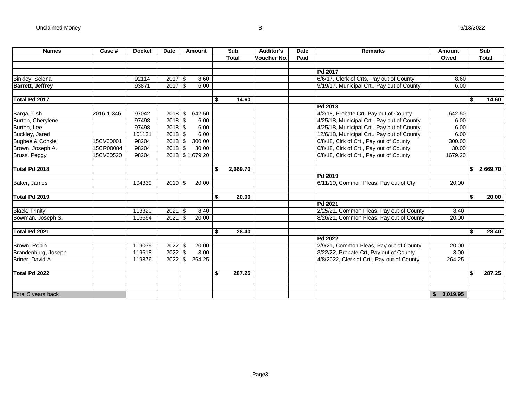| <b>Names</b>            | Case #     | <b>Docket</b> | <b>Date</b> | <b>Amount</b>   | Sub          |          | <b>Auditor's</b>   | <b>Date</b> | <b>Remarks</b>                             | Amount     | Sub          |
|-------------------------|------------|---------------|-------------|-----------------|--------------|----------|--------------------|-------------|--------------------------------------------|------------|--------------|
|                         |            |               |             |                 | <b>Total</b> |          | <b>Voucher No.</b> | Paid        |                                            | Owed       | <b>Total</b> |
|                         |            |               |             |                 |              |          |                    |             |                                            |            |              |
|                         |            |               |             |                 |              |          |                    |             | Pd 2017                                    |            |              |
| Binkley, Selena         |            | 92114         | 2017        | \$<br>8.60      |              |          |                    |             | 6/6/17, Clerk of Crts, Pay out of County   | 8.60       |              |
| <b>Barrett, Jeffrey</b> |            | 93871         | 2017        | \$<br>6.00      |              |          |                    |             | 9/19/17, Municipal Crt., Pay out of County | 6.00       |              |
|                         |            |               |             |                 |              |          |                    |             |                                            |            |              |
| Total Pd 2017           |            |               |             |                 | \$           | 14.60    |                    |             |                                            |            | \$<br>14.60  |
|                         |            |               |             |                 |              |          |                    |             | Pd 2018                                    |            |              |
| Barga, Tish             | 2016-1-346 | 97042         | 2018        | \$<br>642.50    |              |          |                    |             | 4/2/18, Probate Crt, Pay out of County     | 642.50     |              |
| Burton, Cherylene       |            | 97498         | $2018$ \$   | 6.00            |              |          |                    |             | 4/25/18, Municipal Crt., Pay out of County | 6.00       |              |
| Burton, Lee             |            | 97498         | 2018        | \$<br>6.00      |              |          |                    |             | 4/25/18, Municipal Crt., Pay out of County | 6.00       |              |
| Buckley, Jared          |            | 101131        | 2018        | \$<br>6.00      |              |          |                    |             | 12/6/18, Municipal Crt., Pay out of County | 6.00       |              |
| Bugbee & Conkle         | 15CV00001  | 98204         | 2018        | \$<br>300.00    |              |          |                    |             | 6/8/18, Clrk of Crt., Pay out of County    | 300.00     |              |
| Brown, Joseph A.        | 15CR00084  | 98204         | 2018        | \$<br>30.00     |              |          |                    |             | 6/8/18, Clrk of Crt., Pay out of County    | 30.00      |              |
| Bruss, Peggy            | 15CV00520  | 98204         |             | 2018 \$1,679.20 |              |          |                    |             | 6/8/18, Clrk of Crt., Pay out of County    | 1679.20    |              |
|                         |            |               |             |                 |              |          |                    |             |                                            |            |              |
| Total Pd 2018           |            |               |             |                 | \$           | 2.669.70 |                    |             |                                            |            | \$2,669.70   |
|                         |            |               |             |                 |              |          |                    |             | Pd 2019                                    |            |              |
| Baker, James            |            | 104339        | 2019        | \$<br>20.00     |              |          |                    |             | 6/11/19, Common Pleas, Pay out of Cty      | 20.00      |              |
|                         |            |               |             |                 |              |          |                    |             |                                            |            |              |
| Total Pd 2019           |            |               |             |                 | \$           | 20.00    |                    |             |                                            |            | \$<br>20.00  |
|                         |            |               |             |                 |              |          |                    |             | Pd 2021                                    |            |              |
| <b>Black, Trinity</b>   |            | 113320        | 2021        | \$<br>8.40      |              |          |                    |             | 2/25/21, Common Pleas, Pay out of County   | 8.40       |              |
| Bowman, Joseph S.       |            | 116664        | 2021        | \$<br>20.00     |              |          |                    |             | 8/26/21, Common Pleas, Pay out of County   | 20.00      |              |
|                         |            |               |             |                 |              |          |                    |             |                                            |            |              |
| Total Pd 2021           |            |               |             |                 | \$           | 28.40    |                    |             |                                            |            | \$<br>28.40  |
|                         |            |               |             |                 |              |          |                    |             | Pd 2022                                    |            |              |
| Brown, Robin            |            | 119039        | 2022        | \$<br>20.00     |              |          |                    |             | 2/9/21, Common Pleas, Pay out of County    | 20.00      |              |
| Brandenburg, Joseph     |            | 119618        | 2022        | \$<br>3.00      |              |          |                    |             | 3/22/22, Probate Crt, Pay out of County    | 3.00       |              |
| Briner, David A.        |            | 119876        | 2022        | \$<br>264.25    |              |          |                    |             | 4/8/2022, Clerk of Crt., Pay out of County | 264.25     |              |
|                         |            |               |             |                 |              |          |                    |             |                                            |            |              |
| Total Pd 2022           |            |               |             |                 | \$           | 287.25   |                    |             |                                            |            | \$<br>287.25 |
|                         |            |               |             |                 |              |          |                    |             |                                            |            |              |
|                         |            |               |             |                 |              |          |                    |             |                                            |            |              |
| Total 5 years back      |            |               |             |                 |              |          |                    |             |                                            | \$3,019.95 |              |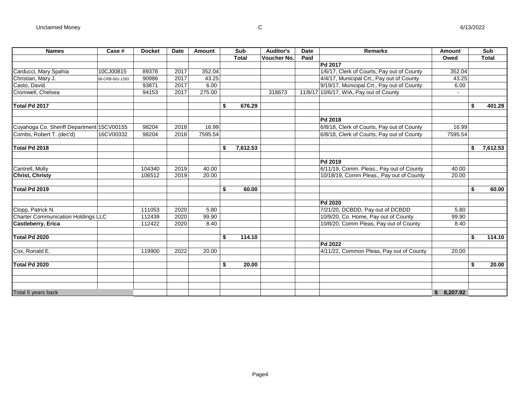| <b>Names</b>                              | Case #          | <b>Docket</b> | <b>Date</b> | Amount  | Sub            | <b>Auditor's</b> | <b>Date</b> | <b>Remarks</b>                             | Amount                   |     | <b>Sub</b>   |
|-------------------------------------------|-----------------|---------------|-------------|---------|----------------|------------------|-------------|--------------------------------------------|--------------------------|-----|--------------|
|                                           |                 |               |             |         | <b>Total</b>   | Voucher No.      | Paid        |                                            | Owed                     |     | <b>Total</b> |
|                                           |                 |               |             |         |                |                  |             | Pd 2017                                    |                          |     |              |
| Carducci, Mary Spahia                     | 10CJ00815       | 89378         | 2017        | 352.04  |                |                  |             | 1/6/17, Clerk of Courts, Pay out of County | 352.04                   |     |              |
| Christian, Mary J.                        | 08-CRB-001-1283 | 90986         | 2017        | 43.25   |                |                  |             | 4/4/17, Municipal Crt., Pay out of County  | 43.25                    |     |              |
| Casto, David                              |                 | 93871         | 2017        | 6.00    |                |                  |             | 9/19/17, Municipal Crt., Pay out of County | 6.00                     |     |              |
| Cromwell, Chelsea                         |                 | 94153         | 2017        | 275.00  |                | 318673           |             | 11/8/17 10/6/17, WIA, Pay out of County    | $\overline{\phantom{a}}$ |     |              |
| Total Pd 2017                             |                 |               |             |         | \$<br>676.29   |                  |             |                                            |                          | \$. | 401.29       |
|                                           |                 |               |             |         |                |                  |             | Pd 2018                                    |                          |     |              |
| Cuyahoga Co. Sheriff Department 15CV00155 |                 | 98204         | 2018        | 16.99   |                |                  |             | 6/8/18, Clerk of Courts, Pay out of County | 16.99                    |     |              |
| Combs, Robert T. (dec'd)                  | 16CV00332       | 98204         | 2018        | 7595.54 |                |                  |             | 6/8/18, Clerk of Courts, Pay out of County | 7595.54                  |     |              |
| Total Pd 2018                             |                 |               |             |         | \$<br>7,612.53 |                  |             |                                            |                          | \$  | 7,612.53     |
|                                           |                 |               |             |         |                |                  |             | Pd 2019                                    |                          |     |              |
| Cantrell, Molly                           |                 | 104340        | 2019        | 40.00   |                |                  |             | 6/11/19, Comm. Pleas., Pay out of County   | 40.00                    |     |              |
| <b>Christ, Christy</b>                    |                 | 106512        | 2019        | 20.00   |                |                  |             | 10/18/19, Comm Pleas., Pay out of County   | 20.00                    |     |              |
| Total Pd 2019                             |                 |               |             |         | \$<br>60.00    |                  |             |                                            |                          | \$  | 60.00        |
|                                           |                 |               |             |         |                |                  |             | Pd 2020                                    |                          |     |              |
| Clopp, Patrick N.                         |                 | 111053        | 2020        | 5.80    |                |                  |             | 7/21/20, DCBDD, Pay out of DCBDD           | 5.80                     |     |              |
| <b>Charter Communication Holdings LLC</b> |                 | 112439        | 2020        | 99.90   |                |                  |             | 10/9/20, Co. Home, Pay out of County       | 99.90                    |     |              |
| <b>Castleberry, Erica</b>                 |                 | 112422        | 2020        | 8.40    |                |                  |             | 10/8/20, Comm Pleas, Pay out of County     | 8.40                     |     |              |
| Total Pd 2020                             |                 |               |             |         | \$<br>114.10   |                  |             |                                            |                          | \$  | 114.10       |
|                                           |                 |               |             |         |                |                  |             | Pd 2022                                    |                          |     |              |
| Cox, Ronald E.                            |                 | 119900        | 2022        | 20.00   |                |                  |             | 4/11/22, Common Pleas, Pay out of County   | 20.00                    |     |              |
| Total Pd 2020                             |                 |               |             |         | \$<br>20.00    |                  |             |                                            |                          | \$  | 20.00        |
|                                           |                 |               |             |         |                |                  |             |                                            |                          |     |              |
|                                           |                 |               |             |         |                |                  |             |                                            |                          |     |              |
| Total 5 years back                        |                 |               |             |         |                |                  |             |                                            | \$8,207.92               |     |              |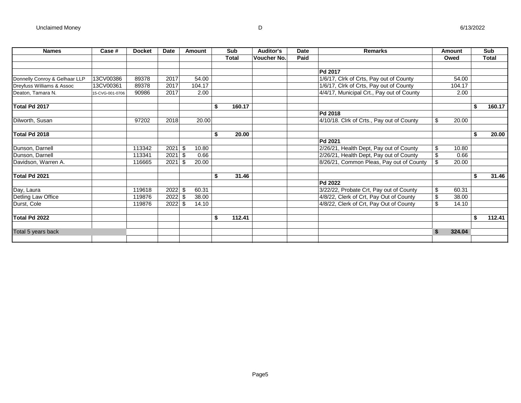| <b>Names</b>                  | Case #          | <b>Docket</b> | <b>Date</b> | Amount       | Sub          | Auditor's   | <b>Date</b> | <b>Remarks</b>                            | Amount       |    | Sub          |
|-------------------------------|-----------------|---------------|-------------|--------------|--------------|-------------|-------------|-------------------------------------------|--------------|----|--------------|
|                               |                 |               |             |              | <b>Total</b> | Voucher No. | Paid        |                                           | Owed         |    | <b>Total</b> |
|                               |                 |               |             |              |              |             |             |                                           |              |    |              |
|                               |                 |               |             |              |              |             |             | Pd 2017                                   |              |    |              |
| Donnelly Conroy & Gelhaar LLP | 13CV00386       | 89378         | 2017        | 54.00        |              |             |             | 1/6/17, Clrk of Crts, Pay out of County   | 54.00        |    |              |
| Dreyfuss Williams & Assoc     | 13CV00361       | 89378         | 2017        | 104.17       |              |             |             | 1/6/17, Clrk of Crts, Pay out of County   | 104.17       |    |              |
| Deaton, Tamara N.             | 15-CVG-001-0706 | 90986         | 2017        | 2.00         |              |             |             | 4/4/17, Municipal Crt., Pay out of County | 2.00         |    |              |
| Total Pd 2017                 |                 |               |             |              | \$<br>160.17 |             |             |                                           |              | \$ | 160.17       |
|                               |                 |               |             |              |              |             |             | Pd 2018                                   |              |    |              |
| Dilworth, Susan               |                 | 97202         | 2018        | 20.00        |              |             |             | 4/10/18. Clrk of Crts., Pay out of County | \$<br>20.00  |    |              |
| Total Pd 2018                 |                 |               |             |              | \$<br>20.00  |             |             |                                           |              | S  | 20.00        |
|                               |                 |               |             |              |              |             |             | Pd 2021                                   |              |    |              |
| Dunson, Darnell               |                 | 113342        | 2021        | -\$<br>10.80 |              |             |             | 2/26/21, Health Dept, Pay out of County   | \$<br>10.80  |    |              |
| Dunson, Darnell               |                 | 113341        | 2021        | 0.66<br>-S   |              |             |             | 2/26/21, Health Dept, Pay out of County   | \$<br>0.66   |    |              |
| Davidson, Warren A.           |                 | 116665        | 2021        | 20.00<br>٩   |              |             |             | 8/26/21, Common Pleas, Pay out of County  | \$<br>20.00  |    |              |
| Total Pd 2021                 |                 |               |             |              | \$<br>31.46  |             |             |                                           |              | S  | 31.46        |
|                               |                 |               |             |              |              |             |             | Pd 2022                                   |              |    |              |
| Day, Laura                    |                 | 119618        | 2022        | 60.31        |              |             |             | 3/22/22, Probate Crt, Pay out of County   | \$<br>60.31  |    |              |
| Detling Law Office            |                 | 119876        | 2022        | 38.00<br>\$  |              |             |             | 4/8/22, Clerk of Crt, Pay Out of County   | \$<br>38.00  |    |              |
| Durst, Cole                   |                 | 119876        | 2022        | 14.10<br>-\$ |              |             |             | 4/8/22, Clerk of Crt, Pay Out of County   | \$<br>14.10  |    |              |
| Total Pd 2022                 |                 |               |             |              | \$<br>112.41 |             |             |                                           |              | \$ | 112.41       |
| Total 5 years back            |                 |               |             |              |              |             |             |                                           | \$<br>324.04 |    |              |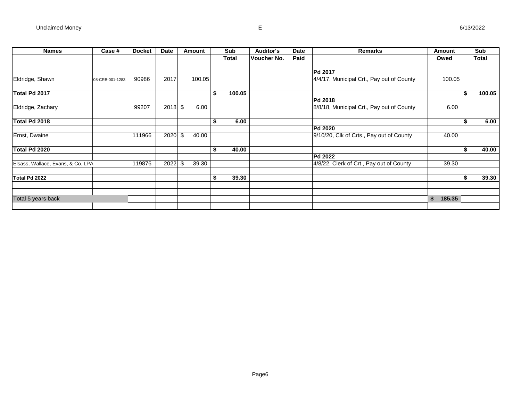| <b>Names</b>                      | Case #          | <b>Docket</b> | Date      | Amount      | Sub          | <b>Auditor's</b> | <b>Date</b> | <b>Remarks</b>                            | Amount       | Sub          |
|-----------------------------------|-----------------|---------------|-----------|-------------|--------------|------------------|-------------|-------------------------------------------|--------------|--------------|
|                                   |                 |               |           |             | <b>Total</b> | Voucher No.      | Paid        |                                           | Owed         | <b>Total</b> |
|                                   |                 |               |           |             |              |                  |             |                                           |              |              |
|                                   |                 |               |           |             |              |                  |             | <b>Pd 2017</b>                            |              |              |
| Eldridge, Shawn                   | 08-CRB-001-1283 | 90986         | 2017      | 100.05      |              |                  |             | 4/4/17. Municipal Crt., Pay out of County | 100.05       |              |
| Total Pd 2017                     |                 |               |           |             | \$<br>100.05 |                  |             |                                           |              | \$<br>100.05 |
|                                   |                 |               |           |             |              |                  |             | Pd 2018                                   |              |              |
| Eldridge, Zachary                 |                 | 99207         | $2018$ \$ | 6.00        |              |                  |             | 8/8/18, Municipal Crt., Pay out of County | 6.00         |              |
| Total Pd 2018                     |                 |               |           |             | \$<br>6.00   |                  |             |                                           |              | \$<br>6.00   |
|                                   |                 |               |           |             |              |                  |             | <b>Pd 2020</b>                            |              |              |
| Ernst, Dwaine                     |                 | 111966        | $2020$ \$ | 40.00       |              |                  |             | 9/10/20, Clk of Crts., Pay out of County  | 40.00        |              |
| Total Pd 2020                     |                 |               |           |             | \$<br>40.00  |                  |             |                                           |              | \$<br>40.00  |
|                                   |                 |               |           |             |              |                  |             | <b>Pd 2022</b>                            |              |              |
| Elsass, Wallace, Evans, & Co. LPA |                 | 119876        | 2022      | \$<br>39.30 |              |                  |             | 4/8/22, Clerk of Crt., Pay out of County  | 39.30        |              |
| Total Pd 2022                     |                 |               |           |             | \$<br>39.30  |                  |             |                                           |              | \$<br>39.30  |
|                                   |                 |               |           |             |              |                  |             |                                           |              |              |
| Total 5 years back                |                 |               |           |             |              |                  |             |                                           | \$<br>185.35 |              |
|                                   |                 |               |           |             |              |                  |             |                                           |              |              |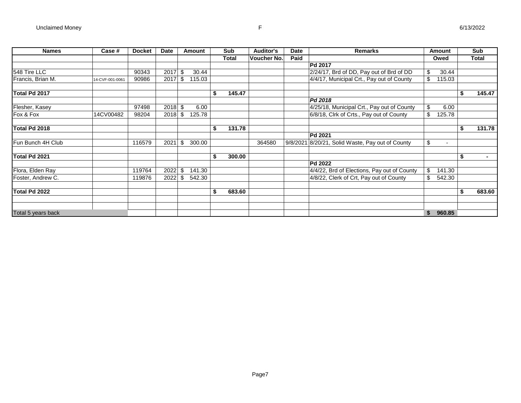| <b>Names</b>       | Case #          | <b>Docket</b> | Date      |    | Amount | Sub          | <b>Auditor's</b> | Date | <b>Remarks</b>                                   |     | Amount |    | <b>Sub</b>   |
|--------------------|-----------------|---------------|-----------|----|--------|--------------|------------------|------|--------------------------------------------------|-----|--------|----|--------------|
|                    |                 |               |           |    |        | <b>Total</b> | Voucher No.      | Paid |                                                  |     | Owed   |    | <b>Total</b> |
|                    |                 |               |           |    |        |              |                  |      | Pd 2017                                          |     |        |    |              |
| 548 Tire LLC       |                 | 90343         | 2017      | S  | 30.44  |              |                  |      | 2/24/17, Brd of DD, Pay out of Brd of DD         | \$  | 30.44  |    |              |
| Francis, Brian M.  | 14-CVF-001-0061 | 90986         | 2017      | \$ | 115.03 |              |                  |      | 4/4/17, Municipal Crt., Pay out of County        |     | 115.03 |    |              |
| Total Pd 2017      |                 |               |           |    |        | \$<br>145.47 |                  |      |                                                  |     |        | S  | 145.47       |
|                    |                 |               |           |    |        |              |                  |      | Pd 2018                                          |     |        |    |              |
| Flesher, Kasey     |                 | 97498         | $2018$ \$ |    | 6.00   |              |                  |      | 4/25/18, Municipal Crt., Pay out of County       | \$  | 6.00   |    |              |
| Fox & Fox          | 14CV00482       | 98204         | 2018      | \$ | 125.78 |              |                  |      | 6/8/18, Clrk of Crts., Pay out of County         | \$  | 125.78 |    |              |
| Total Pd 2018      |                 |               |           |    |        | \$<br>131.78 |                  |      |                                                  |     |        |    | 131.78       |
|                    |                 |               |           |    |        |              |                  |      | Pd 2021                                          |     |        |    |              |
| Fun Bunch 4H Club  |                 | 116579        | 2021      | \$ | 300.00 |              | 364580           |      | 9/8/2021 8/20/21, Solid Waste, Pay out of County | \$  |        |    |              |
| Total Pd 2021      |                 |               |           |    |        | \$<br>300.00 |                  |      |                                                  |     |        | \$ |              |
|                    |                 |               |           |    |        |              |                  |      | Pd 2022                                          |     |        |    |              |
| Flora, Elden Ray   |                 | 119764        | 2022      | \$ | 141.30 |              |                  |      | 4/4/22, Brd of Elections, Pay out of County      | \$  | 141.30 |    |              |
| Foster, Andrew C.  |                 | 119876        | 2022      | \$ | 542.30 |              |                  |      | 4/8/22, Clerk of Crt, Pay out of County          | \$. | 542.30 |    |              |
| Total Pd 2022      |                 |               |           |    |        | \$<br>683.60 |                  |      |                                                  |     |        |    | 683.60       |
|                    |                 |               |           |    |        |              |                  |      |                                                  |     |        |    |              |
| Total 5 years back |                 |               |           |    |        |              |                  |      |                                                  | \$  | 960.85 |    |              |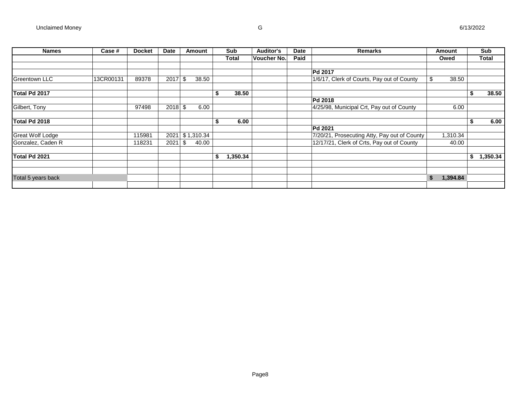| <b>Names</b>            | Case #    | <b>Docket</b> | Date      | <b>Amount</b> |    | Sub      | <b>Auditor's</b> | Date | <b>Remarks</b>                               | Amount         |   | Sub      |
|-------------------------|-----------|---------------|-----------|---------------|----|----------|------------------|------|----------------------------------------------|----------------|---|----------|
|                         |           |               |           |               |    | Total    | Voucher No.      | Paid |                                              | Owed           |   | Total    |
|                         |           |               |           |               |    |          |                  |      |                                              |                |   |          |
|                         |           |               |           |               |    |          |                  |      | Pd 2017                                      |                |   |          |
| Greentown LLC           | 13CR00131 | 89378         | 2017      | \$<br>38.50   |    |          |                  |      | 1/6/17, Clerk of Courts, Pay out of County   | 38.50          |   |          |
| Total Pd 2017           |           |               |           |               |    | 38.50    |                  |      |                                              |                |   | 38.50    |
|                         |           |               |           |               |    |          |                  |      | Pd 2018                                      |                |   |          |
| Gilbert, Tony           |           | 97498         | $2018$ \$ | 6.00          |    |          |                  |      | 4/25/98, Municipal Crt, Pay out of County    | 6.00           |   |          |
|                         |           |               |           |               |    |          |                  |      |                                              |                |   |          |
| Total Pd 2018           |           |               |           |               | э  | 6.00     |                  |      |                                              |                | ъ | 6.00     |
|                         |           |               |           |               |    |          |                  |      | Pd 2021                                      |                |   |          |
| <b>Great Wolf Lodge</b> |           | 115981        | 2021      | \$1,310.34    |    |          |                  |      | 7/20/21, Prosecuting Atty, Pay out of County | 1,310.34       |   |          |
| Gonzalez, Caden R       |           | 118231        | 2021      | \$<br>40.00   |    |          |                  |      | 12/17/21, Clerk of Crts, Pay out of County   | 40.00          |   |          |
|                         |           |               |           |               |    |          |                  |      |                                              |                |   |          |
| Total Pd 2021           |           |               |           |               | \$ | 1,350.34 |                  |      |                                              |                | S | 1,350.34 |
|                         |           |               |           |               |    |          |                  |      |                                              |                |   |          |
| Total 5 years back      |           |               |           |               |    |          |                  |      |                                              | \$<br>1,394.84 |   |          |
|                         |           |               |           |               |    |          |                  |      |                                              |                |   |          |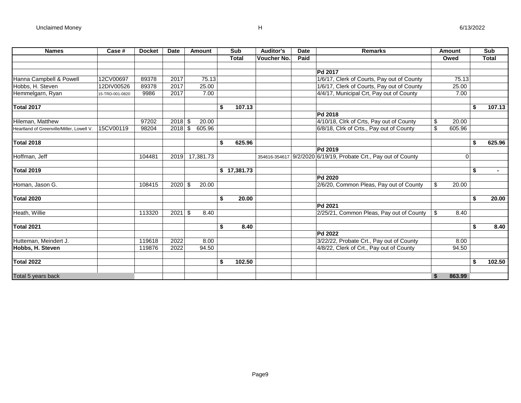| <b>Names</b>                              | Case #          | <b>Docket</b> | <b>Date</b> | Amount       | Sub          | <b>Auditor's</b> | <b>Date</b> | <b>Remarks</b>                                                  |                 | <b>Amount</b> | Sub          |
|-------------------------------------------|-----------------|---------------|-------------|--------------|--------------|------------------|-------------|-----------------------------------------------------------------|-----------------|---------------|--------------|
|                                           |                 |               |             |              | <b>Total</b> | Voucher No.      | Paid        |                                                                 |                 | Owed          | <b>Total</b> |
|                                           |                 |               |             |              |              |                  |             |                                                                 |                 |               |              |
|                                           |                 |               |             |              |              |                  |             | <b>Pd 2017</b>                                                  |                 |               |              |
| Hanna Campbell & Powell                   | 12CV00697       | 89378         | 2017        | 75.13        |              |                  |             | 1/6/17, Clerk of Courts, Pay out of County                      |                 | 75.13         |              |
| Hobbs, H. Steven                          | 12DIV00526      | 89378         | 2017        | 25.00        |              |                  |             | 1/6/17, Clerk of Courts, Pay out of County                      |                 | 25.00         |              |
| Hemmelgarn, Ryan                          | 15-TRD-001-0820 | 9986          | 2017        | 7.00         |              |                  |             | 4/4/17, Municipal Crt, Pay out of County                        |                 | 7.00          |              |
|                                           |                 |               |             |              |              |                  |             |                                                                 |                 |               |              |
| <b>Total 2017</b>                         |                 |               |             |              | \$<br>107.13 |                  |             |                                                                 |                 |               | \$<br>107.13 |
|                                           |                 |               |             |              |              |                  |             | <b>Pd 2018</b>                                                  |                 |               |              |
| Hileman, Matthew                          |                 | 97202         | $2018$ \$   | 20.00        |              |                  |             | 4/10/18, Clrk of Crts, Pay out of County                        | \$              | 20.00         |              |
| Heartland of Greenville/Miller, Lowell V. | 15CV00119       | 98204         | 2018        | \$<br>605.96 |              |                  |             | 6/8/18, Clrk of Crts., Pay out of County                        | $\overline{\$}$ | 605.96        |              |
|                                           |                 |               |             |              |              |                  |             |                                                                 |                 |               |              |
| <b>Total 2018</b>                         |                 |               |             |              | \$<br>625.96 |                  |             |                                                                 |                 |               | \$<br>625.96 |
|                                           |                 |               |             |              |              |                  |             | Pd 2019                                                         |                 |               |              |
| Hoffman, Jeff                             |                 | 104481        | 2019        | 17,381.73    |              |                  |             | 354616-354617 9/2/2020 6/19/19, Probate Crt., Pay out of County |                 | $\Omega$      |              |
|                                           |                 |               |             |              |              |                  |             |                                                                 |                 |               |              |
| <b>Total 2019</b>                         |                 |               |             |              | \$17,381.73  |                  |             |                                                                 |                 |               | \$           |
|                                           |                 |               |             |              |              |                  |             | Pd 2020                                                         |                 |               |              |
| Homan, Jason G.                           |                 | 108415        | 2020        | 20.00<br>\$  |              |                  |             | 2/6/20, Common Pleas, Pay out of County                         | \$              | 20.00         |              |
|                                           |                 |               |             |              |              |                  |             |                                                                 |                 |               |              |
| <b>Total 2020</b>                         |                 |               |             |              | \$<br>20.00  |                  |             |                                                                 |                 |               | \$<br>20.00  |
|                                           |                 |               |             |              |              |                  |             | Pd 2021                                                         |                 |               |              |
| Heath, Willie                             |                 | 113320        | 2021        | \$<br>8.40   |              |                  |             | 2/25/21, Common Pleas, Pay out of County                        | \$              | 8.40          |              |
|                                           |                 |               |             |              |              |                  |             |                                                                 |                 |               |              |
| Total 2021                                |                 |               |             |              | \$<br>8.40   |                  |             |                                                                 |                 |               | \$<br>8.40   |
|                                           |                 |               |             |              |              |                  |             | Pd 2022                                                         |                 |               |              |
| Hutteman, Meindert J.                     |                 | 119618        | 2022        | 8.00         |              |                  |             | 3/22/22, Probate Crt., Pay out of County                        |                 | 8.00          |              |
| Hobbs, H. Steven                          |                 | 119876        | 2022        | 94.50        |              |                  |             | 4/8/22, Clerk of Crt., Pay out of County                        |                 | 94.50         |              |
|                                           |                 |               |             |              |              |                  |             |                                                                 |                 |               |              |
| <b>Total 2022</b>                         |                 |               |             |              | \$<br>102.50 |                  |             |                                                                 |                 |               | \$<br>102.50 |
|                                           |                 |               |             |              |              |                  |             |                                                                 |                 |               |              |
| Total 5 years back                        |                 |               |             |              |              |                  |             |                                                                 | \$              | 863.99        |              |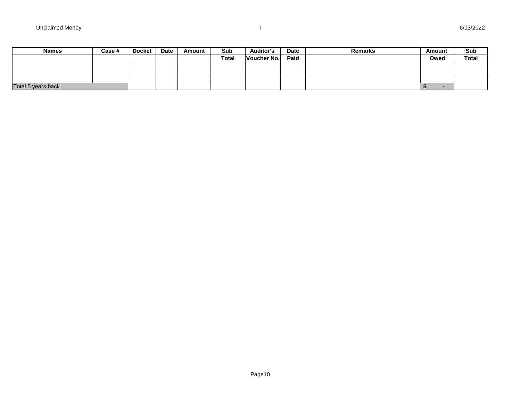| <b>Names</b>       | Case # | Docket | Date | Amount | Sub          | <b>Auditor's</b> | <b>Date</b> | <b>Remarks</b> | Amount | Sub          |
|--------------------|--------|--------|------|--------|--------------|------------------|-------------|----------------|--------|--------------|
|                    |        |        |      |        | <b>Total</b> | Voucher No.      | Paid        |                | Owed   | <b>Total</b> |
|                    |        |        |      |        |              |                  |             |                |        |              |
|                    |        |        |      |        |              |                  |             |                |        |              |
|                    |        |        |      |        |              |                  |             |                |        |              |
| Total 5 years back |        |        |      |        |              |                  |             |                |        |              |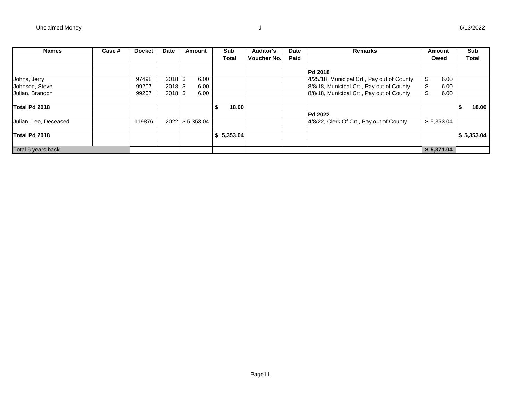| <b>Names</b>          | Case # | <b>Docket</b> | <b>Date</b> | Amount          | Sub        | <b>Auditor's</b> | <b>Date</b> | <b>Remarks</b>                             | Amount     | <b>Sub</b>   |
|-----------------------|--------|---------------|-------------|-----------------|------------|------------------|-------------|--------------------------------------------|------------|--------------|
|                       |        |               |             |                 | Total      | Voucher No.      | Paid        |                                            | Owed       | <b>Total</b> |
|                       |        |               |             |                 |            |                  |             |                                            |            |              |
|                       |        |               |             |                 |            |                  |             | <b>Pd 2018</b>                             |            |              |
| Johns, Jerry          |        | 97498         | 2018        | \$<br>6.00      |            |                  |             | 4/25/18, Municipal Crt., Pay out of County | \$<br>6.00 |              |
| Johnson, Steve        |        | 99207         | 2018        | \$<br>6.00      |            |                  |             | 8/8/18, Municipal Crt., Pay out of County  | 6.00       |              |
| Julian, Brandon       |        | 99207         | $2018$ \$   | 6.00            |            |                  |             | 8/8/18, Municipal Crt., Pay out of County  | 6.00       |              |
|                       |        |               |             |                 |            |                  |             |                                            |            |              |
| Total Pd 2018         |        |               |             |                 | 18.00      |                  |             |                                            |            | 18.00        |
|                       |        |               |             |                 |            |                  |             | <b>Pd 2022</b>                             |            |              |
| Julian, Leo, Deceased |        | 119876        |             | 2022 \$5,353.04 |            |                  |             | 4/8/22, Clerk Of Crt., Pay out of County   | \$5,353.04 |              |
|                       |        |               |             |                 |            |                  |             |                                            |            |              |
| Total Pd 2018         |        |               |             |                 | \$5,353.04 |                  |             |                                            |            | \$5,353.04   |
|                       |        |               |             |                 |            |                  |             |                                            |            |              |
| Total 5 years back    |        |               |             |                 |            |                  |             |                                            | \$5,371.04 |              |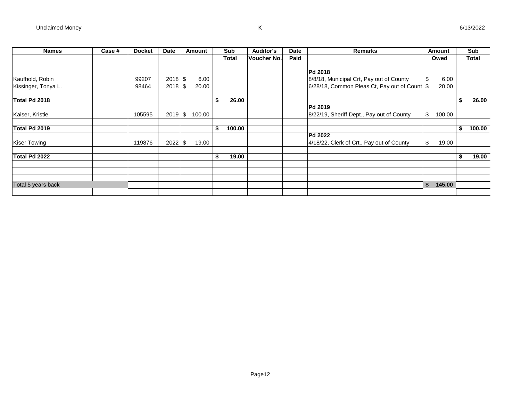| <b>Names</b>        | Case # | <b>Docket</b> | Date | Amount |        | Sub          | <b>Auditor's</b> | Date | <b>Remarks</b>                                | Amount       |     | Sub          |
|---------------------|--------|---------------|------|--------|--------|--------------|------------------|------|-----------------------------------------------|--------------|-----|--------------|
|                     |        |               |      |        |        | <b>Total</b> | Voucher No.      | Paid |                                               | Owed         |     | <b>Total</b> |
|                     |        |               |      |        |        |              |                  |      | Pd 2018                                       |              |     |              |
| Kaufhold, Robin     |        | 99207         | 2018 | \$     | 6.00   |              |                  |      | 8/8/18, Municipal Crt, Pay out of County      | \$<br>6.00   |     |              |
| Kissinger, Tonya L. |        | 98464         | 2018 | \$     | 20.00  |              |                  |      | 6/28/18, Common Pleas Ct, Pay out of Count \$ | 20.00        |     |              |
| Total Pd 2018       |        |               |      |        |        | \$<br>26.00  |                  |      |                                               |              | ъ   | 26.00        |
|                     |        |               |      |        |        |              |                  |      | Pd 2019                                       |              |     |              |
| Kaiser, Kristie     |        | 105595        | 2019 | \$     | 100.00 |              |                  |      | 8/22/19, Sheriff Dept., Pay out of County     | \$<br>100.00 |     |              |
| Total Pd 2019       |        |               |      |        |        | \$<br>100.00 |                  |      |                                               |              | \$  | 100.00       |
|                     |        |               |      |        |        |              |                  |      | Pd 2022                                       |              |     |              |
| <b>Kiser Towing</b> |        | 119876        | 2022 | \$     | 19.00  |              |                  |      | 4/18/22, Clerk of Crt., Pay out of County     | \$<br>19.00  |     |              |
| Total Pd 2022       |        |               |      |        |        | \$<br>19.00  |                  |      |                                               |              | ЗS. | 19.00        |
|                     |        |               |      |        |        |              |                  |      |                                               |              |     |              |
|                     |        |               |      |        |        |              |                  |      |                                               |              |     |              |
| Total 5 years back  |        |               |      |        |        |              |                  |      |                                               | \$<br>145.00 |     |              |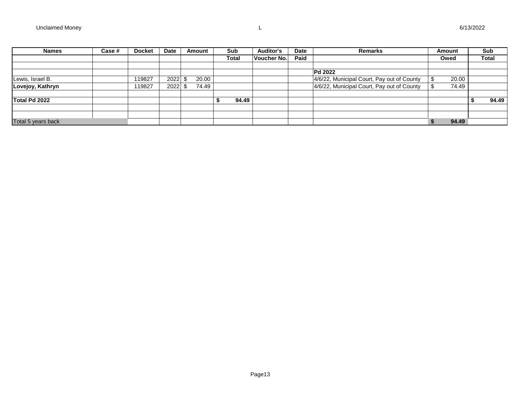| <b>Names</b>       | Case # | <b>Docket</b> | Date | Amount | Sub   | <b>Auditor's</b> | <b>Date</b> | <b>Remarks</b>                             | Amount |       | Sub          |
|--------------------|--------|---------------|------|--------|-------|------------------|-------------|--------------------------------------------|--------|-------|--------------|
|                    |        |               |      |        | Total | Voucher No.      | Paid        |                                            | Owed   |       | <b>Total</b> |
|                    |        |               |      |        |       |                  |             |                                            |        |       |              |
|                    |        |               |      |        |       |                  |             | <b>Pd 2022</b>                             |        |       |              |
| Lewis, Israel B.   |        | 119827        | 2022 | 20.00  |       |                  |             | 4/6/22, Municipal Court, Pay out of County |        | 20.00 |              |
| Lovejoy, Kathryn   |        | 119827        | 2022 | 74.49  |       |                  |             | 4/6/22, Municipal Court, Pay out of County |        | 74.49 |              |
|                    |        |               |      |        |       |                  |             |                                            |        |       |              |
| Total Pd 2022      |        |               |      |        | 94.49 |                  |             |                                            |        |       | 94.49        |
|                    |        |               |      |        |       |                  |             |                                            |        |       |              |
|                    |        |               |      |        |       |                  |             |                                            |        |       |              |
| Total 5 years back |        |               |      |        |       |                  |             |                                            |        | 94.49 |              |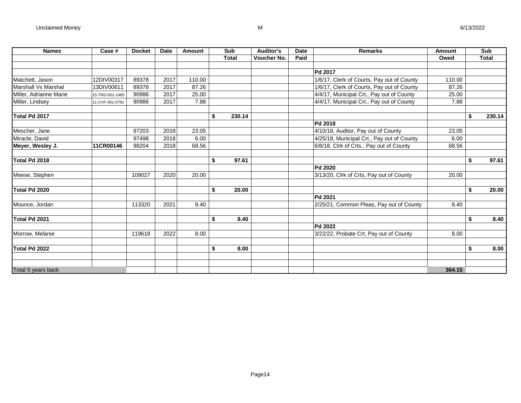| <b>Names</b>           | Case #          | <b>Docket</b> | Date | Amount | Sub          |        | <b>Auditor's</b>   | <b>Date</b> | <b>Remarks</b>                             | Amount | Sub          |
|------------------------|-----------------|---------------|------|--------|--------------|--------|--------------------|-------------|--------------------------------------------|--------|--------------|
|                        |                 |               |      |        | <b>Total</b> |        | <b>Voucher No.</b> | Paid        |                                            | Owed   | <b>Total</b> |
|                        |                 |               |      |        |              |        |                    |             |                                            |        |              |
|                        |                 |               |      |        |              |        |                    |             | Pd 2017                                    |        |              |
| Matchett, Jason        | 12DIV00317      | 89378         | 2017 | 110.00 |              |        |                    |             | 1/6/17, Clerk of Courts, Pay out of County | 110.00 |              |
| Marshall Vs Marshal    | 13DIV00611      | 89378         | 2017 | 87.26  |              |        |                    |             | 1/6/17, Clerk of Courts, Pay out of County | 87.26  |              |
| Miller, Adrianne Marie | 15-TRD-001-1465 | 90986         | 2017 | 25.00  |              |        |                    |             | 4/4/17, Municipal Crt., Pay out of County  | 25.00  |              |
| Miller, Lindsey        | 11-CVF-001-0791 | 90986         | 2017 | 7.88   |              |        |                    |             | 4/4/17, Municipal Crt., Pay out of County  | 7.88   |              |
| Total Pd 2017          |                 |               |      |        | \$           | 230.14 |                    |             |                                            |        | \$<br>230.14 |
|                        |                 |               |      |        |              |        |                    |             | Pd 2018                                    |        |              |
| Mescher, Jane          |                 | 97203         | 2018 | 23.05  |              |        |                    |             | 4/10/18, Auditor, Pay out of County        | 23.05  |              |
| Miracle, David         |                 | 97498         | 2018 | 6.00   |              |        |                    |             | 4/25/18, Municipal Crt., Pay out of County | 6.00   |              |
| Meyer, Wesley J.       | 11CR00146       | 98204         | 2018 | 68.56  |              |        |                    |             | 6/8/18. Clrk of Crts., Pay out of County   | 68.56  |              |
| Total Pd 2018          |                 |               |      |        | \$           | 97.61  |                    |             |                                            |        | \$<br>97.61  |
|                        |                 |               |      |        |              |        |                    |             | Pd 2020                                    |        |              |
| Meese, Stephen         |                 | 109027        | 2020 | 20.00  |              |        |                    |             | 3/13/20, Clrk of Crts, Pay out of County   | 20.00  |              |
| Total Pd 2020          |                 |               |      |        | \$           | 20.00  |                    |             |                                            |        | \$<br>20.00  |
|                        |                 |               |      |        |              |        |                    |             | Pd 2021                                    |        |              |
| Mounce, Jordan         |                 | 113320        | 2021 | 8.40   |              |        |                    |             | 2/25/21, Common Pleas, Pay out of County   | 8.40   |              |
| Total Pd 2021          |                 |               |      |        | \$           | 8.40   |                    |             |                                            |        | \$<br>8.40   |
|                        |                 |               |      |        |              |        |                    |             | Pd 2022                                    |        |              |
| Morrow, Melanie        |                 | 119618        | 2022 | 8.00   |              |        |                    |             | 3/22/22, Probate Crt, Pay out of County    | 8.00   |              |
| Total Pd 2022          |                 |               |      |        | \$           | 8.00   |                    |             |                                            |        | \$<br>8.00   |
|                        |                 |               |      |        |              |        |                    |             |                                            |        |              |
| Total 5 years back     |                 |               |      |        |              |        |                    |             |                                            | 364.15 |              |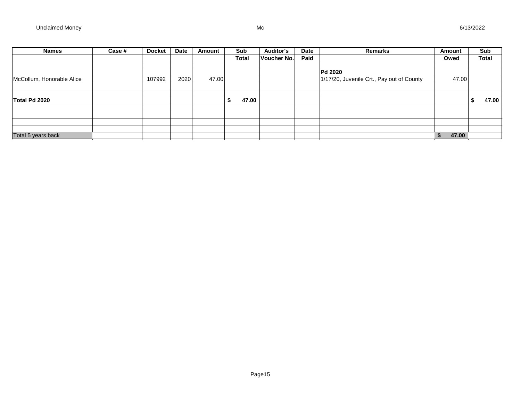| <b>Names</b>              | Case # | <b>Docket</b> | Date | Amount | Sub         | <b>Auditor's</b>   | Date | Remarks                                   | Amount      | Sub          |
|---------------------------|--------|---------------|------|--------|-------------|--------------------|------|-------------------------------------------|-------------|--------------|
|                           |        |               |      |        | Total       | <b>Voucher No.</b> | Paid |                                           | Owed        | <b>Total</b> |
|                           |        |               |      |        |             |                    |      |                                           |             |              |
|                           |        |               |      |        |             |                    |      | <b>Pd 2020</b>                            |             |              |
| McCollum, Honorable Alice |        | 107992        | 2020 | 47.00  |             |                    |      | 1/17/20, Juvenile Crt., Pay out of County | 47.00       |              |
|                           |        |               |      |        |             |                    |      |                                           |             |              |
|                           |        |               |      |        |             |                    |      |                                           |             |              |
| Total Pd 2020             |        |               |      |        | 47.00<br>S. |                    |      |                                           |             | 47.00        |
|                           |        |               |      |        |             |                    |      |                                           |             |              |
|                           |        |               |      |        |             |                    |      |                                           |             |              |
|                           |        |               |      |        |             |                    |      |                                           |             |              |
|                           |        |               |      |        |             |                    |      |                                           |             |              |
| Total 5 years back        |        |               |      |        |             |                    |      |                                           | 47.00<br>\$ |              |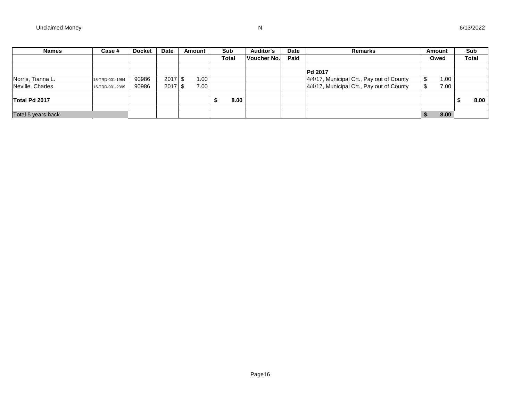| <b>Names</b>       | Case #          | <b>Docket</b> | Date | Amount | <b>Sub</b>   | <b>Auditor's</b> | <b>Date</b> | <b>Remarks</b>                            | Amount | Sub          |
|--------------------|-----------------|---------------|------|--------|--------------|------------------|-------------|-------------------------------------------|--------|--------------|
|                    |                 |               |      |        | <b>Total</b> | Voucher No.      | Paid        |                                           | Owed   | <b>Total</b> |
|                    |                 |               |      |        |              |                  |             |                                           |        |              |
|                    |                 |               |      |        |              |                  |             | Pd 2017                                   |        |              |
| Norris, Tianna L.  | 15-TRD-001-1984 | 90986         | 2017 | 1.00   |              |                  |             | 4/4/17, Municipal Crt., Pay out of County | 1.00   |              |
| Neville, Charles   | 15-TRD-001-2399 | 90986         | 2017 | 7.00   |              |                  |             | 4/4/17, Municipal Crt., Pay out of County | 7.00   |              |
|                    |                 |               |      |        |              |                  |             |                                           |        |              |
| Total Pd 2017      |                 |               |      |        | 8.00         |                  |             |                                           |        | 8.00         |
|                    |                 |               |      |        |              |                  |             |                                           |        |              |
| Total 5 years back |                 |               |      |        |              |                  |             |                                           | 8.00   |              |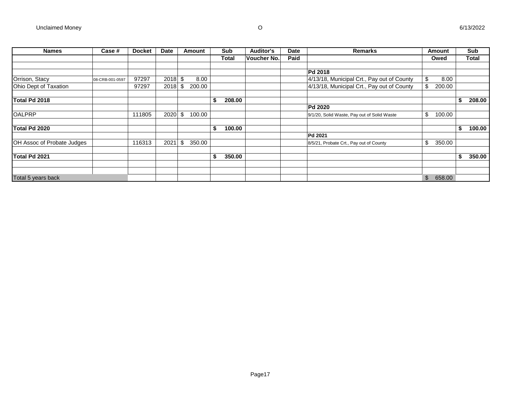| <b>Names</b>                      | Case #          | <b>Docket</b> | <b>Date</b> |      | <b>Amount</b> | Sub          | <b>Auditor's</b> | Date | <b>Remarks</b>                              |                           | <b>Amount</b> |    | Sub          |
|-----------------------------------|-----------------|---------------|-------------|------|---------------|--------------|------------------|------|---------------------------------------------|---------------------------|---------------|----|--------------|
|                                   |                 |               |             |      |               | <b>Total</b> | Voucher No.      | Paid |                                             |                           | Owed          |    | <b>Total</b> |
|                                   |                 |               |             |      |               |              |                  |      | <b>Pd 2018</b>                              |                           |               |    |              |
| Orrison, Stacy                    | 08-CRB-001-0597 | 97297         | $2018$ \$   |      | 8.00          |              |                  |      | 4/13/18, Municipal Crt., Pay out of County  | \$                        | 8.00          |    |              |
| Ohio Dept of Taxation             |                 | 97297         | 2018        | -\$  | 200.00        |              |                  |      | 4/13/18, Municipal Crt., Pay out of County  | $\boldsymbol{\mathsf{S}}$ | 200.00        |    |              |
| Total Pd 2018                     |                 |               |             |      |               | \$<br>208.00 |                  |      |                                             |                           |               | э  | 208.00       |
|                                   |                 |               |             |      |               |              |                  |      | <b>Pd 2020</b>                              |                           |               |    |              |
| <b>OALPRP</b>                     |                 | 111805        | $2020$ \$   |      | 100.00        |              |                  |      | 9/1/20, Solid Waste, Pay out of Solid Waste | \$                        | 100.00        |    |              |
| Total Pd 2020                     |                 |               |             |      |               | \$<br>100.00 |                  |      |                                             |                           |               | S. | 100.00       |
|                                   |                 |               |             |      |               |              |                  |      | <b>Pd 2021</b>                              |                           |               |    |              |
| <b>OH Assoc of Probate Judges</b> |                 | 116313        | 2021        | - \$ | 350.00        |              |                  |      | 8/5/21, Probate Crt., Pay out of County     | \$                        | 350.00        |    |              |
| Total Pd 2021                     |                 |               |             |      |               | \$<br>350.00 |                  |      |                                             |                           |               | J. | 350.00       |
| Total 5 years back                |                 |               |             |      |               |              |                  |      |                                             | $\mathfrak{S}$            | 658.00        |    |              |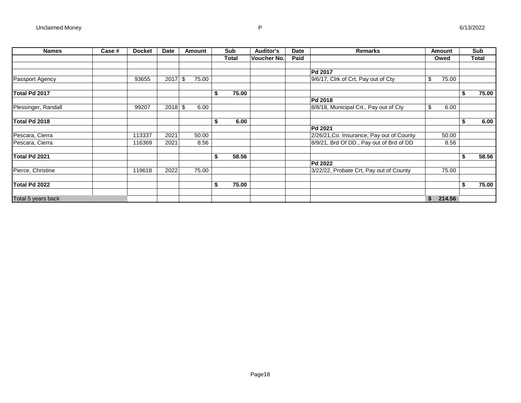| <b>Names</b>        | Case # | <b>Docket</b> | <b>Date</b> | Amount      |    | Sub   | <b>Auditor's</b> | <b>Date</b> | Remarks                                   |    | Amount | Sub   |
|---------------------|--------|---------------|-------------|-------------|----|-------|------------------|-------------|-------------------------------------------|----|--------|-------|
|                     |        |               |             |             |    | Total | Voucher No.      | Paid        |                                           |    | Owed   | Total |
|                     |        |               |             |             |    |       |                  |             | Pd 2017                                   |    |        |       |
| Passport Agency     |        | 93655         | 2017        | \$<br>75.00 |    |       |                  |             | 9/6/17, Clrk of Crt, Pay out of Cty       | \$ | 75.00  |       |
| Total Pd 2017       |        |               |             |             | \$ | 75.00 |                  |             |                                           |    |        | 75.00 |
|                     |        |               |             |             |    |       |                  |             | <b>Pd 2018</b>                            |    |        |       |
| Plessinger, Randall |        | 99207         | $2018$ \$   | 6.00        |    |       |                  |             | 8/8/18, Municipal Crt., Pay out of Cty    | \$ | 6.00   |       |
| Total Pd 2018       |        |               |             |             | Ŝ. | 6.00  |                  |             |                                           |    |        | 6.00  |
|                     |        |               |             |             |    |       |                  |             | <b>Pd 2021</b>                            |    |        |       |
| Pescara, Cierra     |        | 113337        | 2021        | 50.00       |    |       |                  |             | 2/26/21, Co. Insurance, Pay out of County |    | 50.00  |       |
| Pescara, Cierra     |        | 116369        | 2021        | 8.56        |    |       |                  |             | 8/9/21, Brd Of DD., Pay out of Brd of DD  |    | 8.56   |       |
| Total Pd 2021       |        |               |             |             | \$ | 58.56 |                  |             |                                           |    |        | 58.56 |
|                     |        |               |             |             |    |       |                  |             | <b>Pd 2022</b>                            |    |        |       |
| Pierce, Christine   |        | 119618        | 2022        | 75.00       |    |       |                  |             | 3/22/22, Probate Crt, Pay out of County   |    | 75.00  |       |
| Total Pd 2022       |        |               |             |             | \$ | 75.00 |                  |             |                                           |    |        | 75.00 |
| Total 5 years back  |        |               |             |             |    |       |                  |             |                                           | S. | 214.56 |       |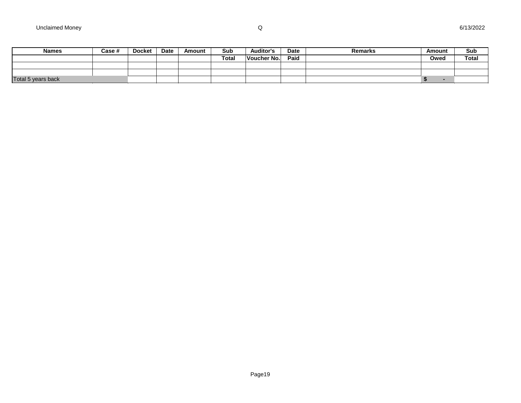| <b>Names</b>       | Case # | <b>Docket</b> | Date | Amount | Sub          | <b>Auditor's</b> | Date | <b>Remarks</b> | Amount | Sub          |
|--------------------|--------|---------------|------|--------|--------------|------------------|------|----------------|--------|--------------|
|                    |        |               |      |        | <b>Total</b> | Voucher No.      | Paid |                | Owed   | <b>Total</b> |
|                    |        |               |      |        |              |                  |      |                |        |              |
|                    |        |               |      |        |              |                  |      |                |        |              |
| Total 5 years back |        |               |      |        |              |                  |      |                |        |              |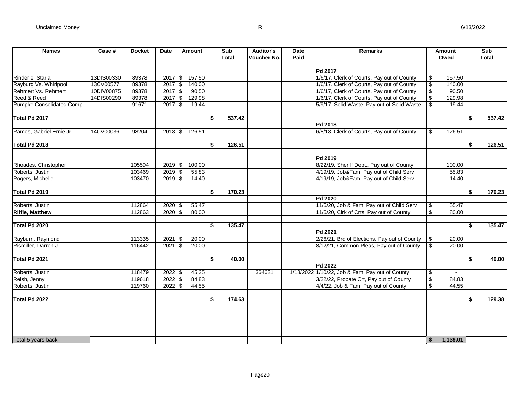| <b>Names</b>                    | Case #     | <b>Docket</b> | Date<br>Amount      | Sub          | <b>Auditor's</b> | <b>Date</b> | <b>Remarks</b>                                  |                          | Amount   | Sub          |
|---------------------------------|------------|---------------|---------------------|--------------|------------------|-------------|-------------------------------------------------|--------------------------|----------|--------------|
|                                 |            |               |                     | <b>Total</b> | Voucher No.      | Paid        |                                                 |                          | Owed     | <b>Total</b> |
|                                 |            |               |                     |              |                  |             |                                                 |                          |          |              |
|                                 |            |               |                     |              |                  |             | Pd 2017                                         |                          |          |              |
| Rinderle, Starla                | 13DIS00330 | 89378         | $2017$ \$<br>157.50 |              |                  |             | 1/6/17, Clerk of Courts, Pay out of County      | \$                       | 157.50   |              |
| Rayburg Vs. Whirlpool           | 13CV00577  | 89378         | 140.00<br>$2017$ \$ |              |                  |             | 1/6/17, Clerk of Courts, Pay out of County      | $\overline{\mathcal{E}}$ | 140.00   |              |
| Rehmert Vs. Rehmert             | 10DIV00875 | 89378         | 90.50<br>$2017$ \$  |              |                  |             | 1/6/17, Clerk of Courts, Pay out of County      | \$                       | 90.50    |              |
| Reed & Reed                     | 14DIS00290 | 89378         | $2017$ \$<br>129.98 |              |                  |             | 1/6/17, Clerk of Courts, Pay out of County      | $\overline{\$}$          | 129.98   |              |
| <b>Rumpke Consolidated Comp</b> |            | 91671         | 19.44<br>$2017$ \$  |              |                  |             | 5/9/17, Solid Waste, Pay out of Solid Waste     | \$                       | 19.44    |              |
|                                 |            |               |                     |              |                  |             |                                                 |                          |          |              |
| Total Pd 2017                   |            |               |                     | \$<br>537.42 |                  |             |                                                 |                          |          | \$<br>537.42 |
|                                 |            |               |                     |              |                  |             | Pd 2018                                         |                          |          |              |
| Ramos, Gabriel Ernie Jr.        | 14CV00036  | 98204         | $2018$ \$<br>126.51 |              |                  |             | 6/8/18, Clerk of Courts, Pay out of County      | \$                       | 126.51   |              |
|                                 |            |               |                     |              |                  |             |                                                 |                          |          |              |
| Total Pd 2018                   |            |               |                     | \$<br>126.51 |                  |             |                                                 |                          |          | \$<br>126.51 |
|                                 |            |               |                     |              |                  |             |                                                 |                          |          |              |
|                                 |            |               |                     |              |                  |             | Pd 2019                                         |                          |          |              |
| Rhoades, Christopher            |            | 105594        | $2019$ \$<br>100.00 |              |                  |             | 8/22/19, Sheriff Dept., Pay out of County       |                          | 100.00   |              |
| Roberts, Justin                 |            | 103469        | $2019$ \$<br>55.83  |              |                  |             | 4/19/19, Job&Fam, Pay out of Child Serv         |                          | 55.83    |              |
| Rogers, Michelle                |            | 103470        | $2019$ \$<br>14.40  |              |                  |             | 4/19/19, Job&Fam, Pay out of Child Serv         |                          | 14.40    |              |
|                                 |            |               |                     |              |                  |             |                                                 |                          |          |              |
| Total Pd 2019                   |            |               |                     | \$<br>170.23 |                  |             |                                                 |                          |          | \$<br>170.23 |
|                                 |            |               |                     |              |                  |             | Pd 2020                                         |                          |          |              |
| Roberts, Justin                 |            | 112864        | $2020$ \$<br>55.47  |              |                  |             | 11/5/20, Job & Fam, Pay out of Child Serv       | \$                       | 55.47    |              |
| <b>Riffle, Matthew</b>          |            | 112863        | $2020$ \$<br>80.00  |              |                  |             | 11/5/20, Clrk of Crts, Pay out of County        | \$                       | 80.00    |              |
| Total Pd 2020                   |            |               |                     | \$<br>135.47 |                  |             |                                                 |                          |          | \$<br>135.47 |
|                                 |            |               |                     |              |                  |             | Pd 2021                                         |                          |          |              |
| Rayburn, Raymond                |            | 113335        | $2021$ \$<br>20.00  |              |                  |             | 2/26/21, Brd of Elections, Pay out of County    | \$                       | 20.00    |              |
| Rismiller, Darren J.            |            | 116442        | $2021$ \$<br>20.00  |              |                  |             | 8/12/21, Common Pleas, Pay out of County        | \$                       | 20.00    |              |
|                                 |            |               |                     |              |                  |             |                                                 |                          |          |              |
| Total Pd 2021                   |            |               |                     | \$<br>40.00  |                  |             |                                                 |                          |          | \$<br>40.00  |
|                                 |            |               |                     |              |                  |             | Pd 2022                                         |                          |          |              |
| Roberts, Justin                 |            | 118479        | $2022$ \$<br>45.25  |              | 364631           |             | 1/18/2022 1/10/22, Job & Fam, Pay out of County | \$                       |          |              |
| Reish, Jenny                    |            | 119618        | $2022$ \$<br>84.83  |              |                  |             | 3/22/22, Probate Crt, Pay out of County         | \$                       | 84.83    |              |
| Roberts, Justin                 |            | 119760        | $2022$ \$<br>44.55  |              |                  |             | 4/4/22, Job & Fam, Pay out of County            | \$                       | 44.55    |              |
|                                 |            |               |                     |              |                  |             |                                                 |                          |          |              |
| Total Pd 2022                   |            |               |                     | \$<br>174.63 |                  |             |                                                 |                          |          | \$<br>129.38 |
|                                 |            |               |                     |              |                  |             |                                                 |                          |          |              |
|                                 |            |               |                     |              |                  |             |                                                 |                          |          |              |
|                                 |            |               |                     |              |                  |             |                                                 |                          |          |              |
|                                 |            |               |                     |              |                  |             |                                                 |                          |          |              |
| Total 5 years back              |            |               |                     |              |                  |             |                                                 | \$                       | 1.139.01 |              |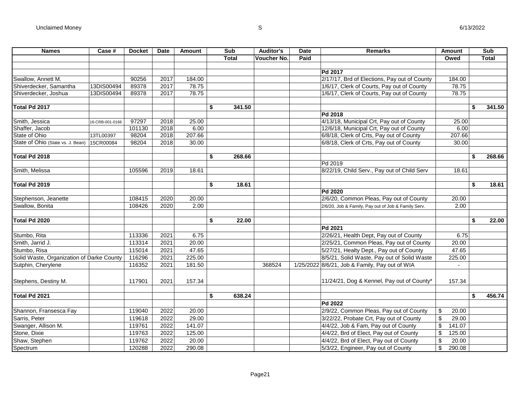| <b>Names</b>                              | Case #          | <b>Docket</b> | <b>Date</b> | Amount | Sub          | Auditor's          | Date | <b>Remarks</b>                                      | <b>Amount</b> | Sub          |
|-------------------------------------------|-----------------|---------------|-------------|--------|--------------|--------------------|------|-----------------------------------------------------|---------------|--------------|
|                                           |                 |               |             |        | <b>Total</b> | <b>Voucher No.</b> | Paid |                                                     | Owed          | <b>Total</b> |
|                                           |                 |               |             |        |              |                    |      |                                                     |               |              |
|                                           |                 |               |             |        |              |                    |      | Pd 2017                                             |               |              |
| Swallow, Annett M.                        |                 | 90256         | 2017        | 184.00 |              |                    |      | 2/17/17, Brd of Elections, Pay out of County        | 184.00        |              |
| Shiverdecker, Samantha                    | 13DIS00494      | 89378         | 2017        | 78.75  |              |                    |      | 1/6/17, Clerk of Courts, Pay out of County          | 78.75         |              |
| Shiverdecker, Joshua                      | 13DIS00494      | 89378         | 2017        | 78.75  |              |                    |      | 1/6/17, Clerk of Courts, Pay out of County          | 78.75         |              |
|                                           |                 |               |             |        |              |                    |      |                                                     |               |              |
| Total Pd 2017                             |                 |               |             |        | \$<br>341.50 |                    |      |                                                     |               | \$<br>341.50 |
|                                           |                 |               |             |        |              |                    |      | Pd 2018                                             |               |              |
| Smith, Jessica                            | 16-CRB-001-0166 | 97297         | 2018        | 25.00  |              |                    |      | 4/13/18, Municipal Crt, Pay out of County           | 25.00         |              |
| Shaffer, Jacob                            |                 | 101130        | 2018        | 6.00   |              |                    |      | 12/6/18, Municipal Crt, Pay out of County           | 6.00          |              |
| State of Ohio                             | 13TL00397       | 98204         | 2018        | 207.66 |              |                    |      | 6/8/18, Clerk of Crts, Pay out of County            | 207.66        |              |
| State of Ohio (State vs. J. Bean)         | 15CR00084       | 98204         | 2018        | 30.00  |              |                    |      | 6/8/18, Clerk of Crts, Pay out of County            | 30.00         |              |
|                                           |                 |               |             |        |              |                    |      |                                                     |               |              |
| Total Pd 2018                             |                 |               |             |        | \$<br>268.66 |                    |      |                                                     |               | \$<br>268.66 |
|                                           |                 |               |             |        |              |                    |      | Pd 2019                                             |               |              |
| Smith, Melissa                            |                 | 105596        | 2019        | 18.61  |              |                    |      | 8/22/19, Child Serv., Pay out of Child Serv         | 18.61         |              |
|                                           |                 |               |             |        |              |                    |      |                                                     |               |              |
| Total Pd 2019                             |                 |               |             |        | \$<br>18.61  |                    |      |                                                     |               | \$<br>18.61  |
|                                           |                 |               |             |        |              |                    |      | Pd 2020                                             |               |              |
| Stephenson, Jeanette                      |                 | 108415        | 2020        | 20.00  |              |                    |      | 2/6/20, Common Pleas, Pay out of County             | 20.00         |              |
| Swallow, Bonita                           |                 | 108426        | 2020        | 2.00   |              |                    |      | 2/6/20, Job & Family, Pay out of Job & Family Serv. | 2.00          |              |
|                                           |                 |               |             |        |              |                    |      |                                                     |               |              |
| Total Pd 2020                             |                 |               |             |        | \$<br>22.00  |                    |      |                                                     |               | \$<br>22.00  |
|                                           |                 |               |             |        |              |                    |      | Pd 2021                                             |               |              |
| Stumbo, Rita                              |                 | 113336        | 2021        | 6.75   |              |                    |      | 2/26/21, Health Dept, Pay out of County             | 6.75          |              |
| Smith, Jarrid J.                          |                 | 113314        | 2021        | 20.00  |              |                    |      | 2/25/21, Common Pleas, Pay out of County            | 20.00         |              |
| Stumbo, Risa                              |                 | 115014        | 2021        | 47.65  |              |                    |      | 5/27/21, Healty Dept., Pay out of County            | 47.65         |              |
| Solid Waste, Organization of Darke County |                 | 116296        | 2021        | 225.00 |              |                    |      | 8/5/21, Solid Waste, Pay out of Solid Waste         | 225.00        |              |
| Sutphin, Cherylene                        |                 | 116352        | 2021        | 181.50 |              | 368524             |      | 1/25/2022 8/6/21, Job & Family, Pay out of WIA      | $\mathbf{r}$  |              |
|                                           |                 |               |             |        |              |                    |      |                                                     |               |              |
|                                           |                 |               |             |        |              |                    |      |                                                     |               |              |
| Stephens, Destiny M.                      |                 | 117901        | 2021        | 157.34 |              |                    |      | 11/24/21, Dog & Kennel, Pay out of County*          | 157.34        |              |
|                                           |                 |               |             |        |              |                    |      |                                                     |               |              |
| Total Pd 2021                             |                 |               |             |        | \$<br>638.24 |                    |      |                                                     |               | \$<br>456.74 |
|                                           |                 |               |             |        |              |                    |      | Pd 2022                                             |               |              |
| Shannon, Fransesca Fay                    |                 | 119040        | 2022        | 20.00  |              |                    |      | 2/9/22, Common Pleas, Pay out of County             | \$<br>20.00   |              |
| Sarris, Peter                             |                 | 119618        | 2022        | 29.00  |              |                    |      | 3/22/22, Probate Crt, Pay out of County             | \$<br>29.00   |              |
| Swanger, Allison M.                       |                 | 119761        | 2022        | 141.07 |              |                    |      | 4/4/22, Job & Fam, Pay out of County                | \$<br>141.07  |              |
| Stone, Dixie                              |                 | 119763        | 2022        | 125.00 |              |                    |      | 4/4/22, Brd of Elect, Pay out of County             | \$<br>125.00  |              |
| Shaw, Stephen                             |                 | 119762        | 2022        | 20.00  |              |                    |      | 4/4/22, Brd of Elect, Pay out of County             | \$<br>20.00   |              |
| Spectrum                                  |                 | 120288        | 2022        | 290.08 |              |                    |      | 5/3/22, Engineer, Pay out of County                 | \$<br>290.08  |              |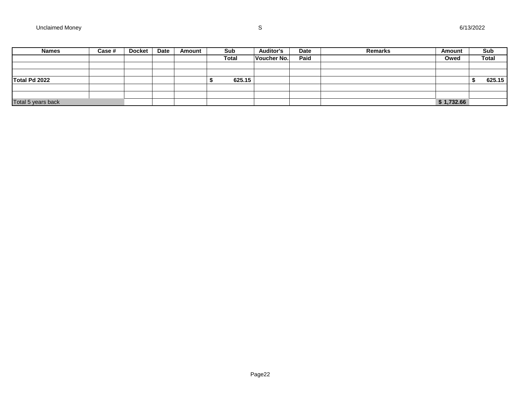| <b>Names</b>       | Case # | <b>Docket</b> | <b>Date</b> | Amount | Sub          | <b>Auditor's</b> | <b>Date</b> | <b>Remarks</b> | Amount     | Sub          |
|--------------------|--------|---------------|-------------|--------|--------------|------------------|-------------|----------------|------------|--------------|
|                    |        |               |             |        | <b>Total</b> | Voucher No.      | Paid        |                | Owed       | <b>Total</b> |
|                    |        |               |             |        |              |                  |             |                |            |              |
|                    |        |               |             |        |              |                  |             |                |            |              |
| Total Pd 2022      |        |               |             |        | 625.15       |                  |             |                |            | 625.15       |
|                    |        |               |             |        |              |                  |             |                |            |              |
|                    |        |               |             |        |              |                  |             |                |            |              |
| Total 5 years back |        |               |             |        |              |                  |             |                | \$1,732.66 |              |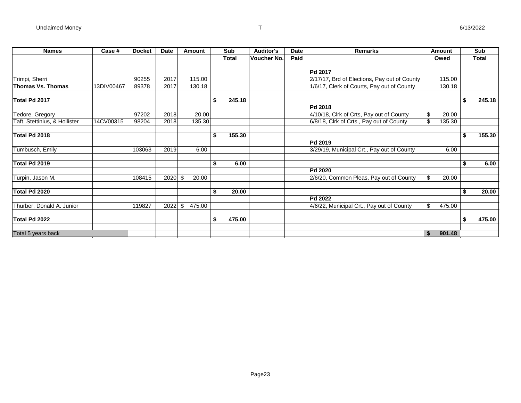| <b>Names</b>                  | Case #     | <b>Docket</b> | Date | Amount       |    | Sub          | <b>Auditor's</b>   | Date | <b>Remarks</b>                               |    | Amount |    | Sub          |
|-------------------------------|------------|---------------|------|--------------|----|--------------|--------------------|------|----------------------------------------------|----|--------|----|--------------|
|                               |            |               |      |              |    | <b>Total</b> | <b>Voucher No.</b> | Paid |                                              |    | Owed   |    | <b>Total</b> |
|                               |            |               |      |              |    |              |                    |      |                                              |    |        |    |              |
|                               |            |               |      |              |    |              |                    |      | Pd 2017                                      |    |        |    |              |
| Trimpi, Sherri                |            | 90255         | 2017 | 115.00       |    |              |                    |      | 2/17/17, Brd of Elections, Pay out of County |    | 115.00 |    |              |
| Thomas Vs. Thomas             | 13DIV00467 | 89378         | 2017 | 130.18       |    |              |                    |      | 1/6/17, Clerk of Courts, Pay out of County   |    | 130.18 |    |              |
| Total Pd 2017                 |            |               |      |              | S  | 245.18       |                    |      |                                              |    |        | \$ | 245.18       |
|                               |            |               |      |              |    |              |                    |      | Pd 2018                                      |    |        |    |              |
| Tedore, Gregory               |            | 97202         | 2018 | 20.00        |    |              |                    |      | 4/10/18, Clrk of Crts, Pay out of County     | \$ | 20.00  |    |              |
| Taft, Stettinius, & Hollister | 14CV00315  | 98204         | 2018 | 135.30       |    |              |                    |      | 6/8/18, Clrk of Crts., Pay out of County     | \$ | 135.30 |    |              |
| Total Pd 2018                 |            |               |      |              | \$ | 155.30       |                    |      |                                              |    |        | \$ | 155.30       |
|                               |            |               |      |              |    |              |                    |      | Pd 2019                                      |    |        |    |              |
| Tumbusch, Emily               |            | 103063        | 2019 | 6.00         |    |              |                    |      | 3/29/19, Municipal Crt., Pay out of County   |    | 6.00   |    |              |
| Total Pd 2019                 |            |               |      |              | \$ | 6.00         |                    |      |                                              |    |        | \$ | 6.00         |
|                               |            |               |      |              |    |              |                    |      | Pd 2020                                      |    |        |    |              |
| Turpin, Jason M.              |            | 108415        | 2020 | \$<br>20.00  |    |              |                    |      | 2/6/20, Common Pleas, Pay out of County      | \$ | 20.00  |    |              |
| Total Pd 2020                 |            |               |      |              | \$ | 20.00        |                    |      |                                              |    |        | Ŝ. | 20.00        |
|                               |            |               |      |              |    |              |                    |      | <b>Pd 2022</b>                               |    |        |    |              |
| Thurber, Donald A. Junior     |            | 119827        | 2022 | \$<br>475.00 |    |              |                    |      | 4/6/22, Municipal Crt., Pay out of County    | \$ | 475.00 |    |              |
| Total Pd 2022                 |            |               |      |              | \$ | 475.00       |                    |      |                                              |    |        | \$ | 475.00       |
|                               |            |               |      |              |    |              |                    |      |                                              |    |        |    |              |
| Total 5 years back            |            |               |      |              |    |              |                    |      |                                              | S  | 901.48 |    |              |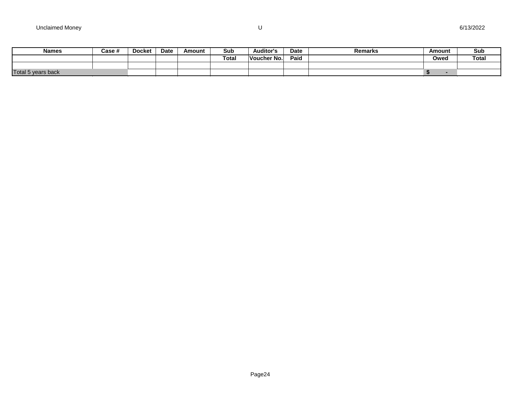| <b>Names</b>       | Case # | <b>Docket</b> | <b>Date</b> | Amount | Sub               | Auditor's   | Date | Remarks | Amount | Sub          |
|--------------------|--------|---------------|-------------|--------|-------------------|-------------|------|---------|--------|--------------|
|                    |        |               |             |        | Tota <sub>l</sub> | Voucher No. | Paid |         | Owed   | <b>Total</b> |
|                    |        |               |             |        |                   |             |      |         |        |              |
| Total 5 years back |        |               |             |        |                   |             |      |         |        |              |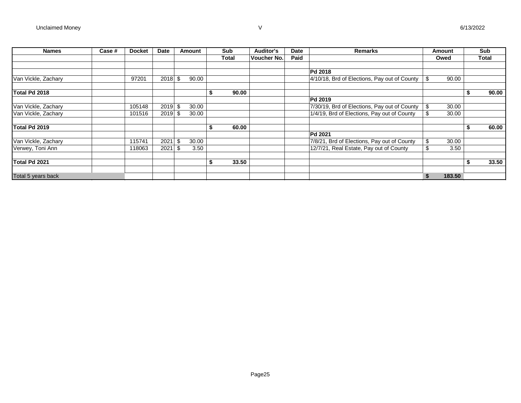| <b>Names</b>        | Case # | <b>Docket</b> | <b>Date</b> |      | Amount |    | Sub   | <b>Auditor's</b> | Date | <b>Remarks</b>                               |     | Amount | Sub          |
|---------------------|--------|---------------|-------------|------|--------|----|-------|------------------|------|----------------------------------------------|-----|--------|--------------|
|                     |        |               |             |      |        |    | Total | Voucher No.      | Paid |                                              |     | Owed   | <b>Total</b> |
|                     |        |               |             |      |        |    |       |                  |      |                                              |     |        |              |
|                     |        |               |             |      |        |    |       |                  |      | <b>Pd 2018</b>                               |     |        |              |
| Van Vickle, Zachary |        | 97201         | 2018        | -\$  | 90.00  |    |       |                  |      | 4/10/18, Brd of Elections, Pay out of County | \$. | 90.00  |              |
|                     |        |               |             |      |        |    |       |                  |      |                                              |     |        |              |
| Total Pd 2018       |        |               |             |      |        | ъ  | 90.00 |                  |      |                                              |     |        | 90.00        |
|                     |        |               |             |      |        |    |       |                  |      | <b>Pd 2019</b>                               |     |        |              |
| Van Vickle, Zachary |        | 105148        | $2019$ \$   |      | 30.00  |    |       |                  |      | 7/30/19, Brd of Elections, Pay out of County | \$  | 30.00  |              |
| Van Vickle, Zachary |        | 101516        | $2019$ \$   |      | 30.00  |    |       |                  |      | 1/4/19, Brd of Elections, Pay out of County  | \$  | 30.00  |              |
| Total Pd 2019       |        |               |             |      |        | ъ  | 60.00 |                  |      |                                              |     |        | 60.00        |
|                     |        |               |             |      |        |    |       |                  |      | <b>Pd 2021</b>                               |     |        |              |
| Van Vickle, Zachary |        | 115741        | 2021        | \$   | 30.00  |    |       |                  |      | 7/8/21, Brd of Elections, Pay out of County  | \$  | 30.00  |              |
| Verwey, Toni Ann    |        | 118063        | 2021        | - \$ | 3.50   |    |       |                  |      | 12/7/21, Real Estate, Pay out of County      | S   | 3.50   |              |
|                     |        |               |             |      |        |    |       |                  |      |                                              |     |        |              |
| Total Pd 2021       |        |               |             |      |        | \$ | 33.50 |                  |      |                                              |     |        | 33.50        |
|                     |        |               |             |      |        |    |       |                  |      |                                              |     |        |              |
| Total 5 years back  |        |               |             |      |        |    |       |                  |      |                                              |     | 183.50 |              |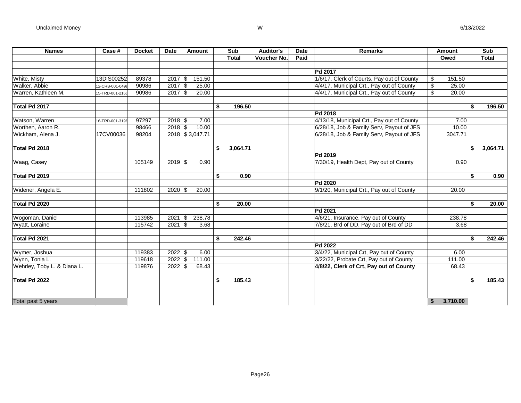| <b>Names</b>                | Case #          | <b>Docket</b> | <b>Date</b> |               | Amount          | Sub            | <b>Auditor's</b>   | <b>Date</b> | <b>Remarks</b>                             |                         | Amount   | Sub          |
|-----------------------------|-----------------|---------------|-------------|---------------|-----------------|----------------|--------------------|-------------|--------------------------------------------|-------------------------|----------|--------------|
|                             |                 |               |             |               |                 | <b>Total</b>   | <b>Voucher No.</b> | Paid        |                                            |                         | Owed     | <b>Total</b> |
|                             |                 |               |             |               |                 |                |                    |             |                                            |                         |          |              |
|                             |                 |               |             |               |                 |                |                    |             | Pd 2017                                    |                         |          |              |
| White, Misty                | 13DIS00252      | 89378         | $2017$ \$   |               | 151.50          |                |                    |             | 1/6/17, Clerk of Courts, Pay out of County | \$                      | 151.50   |              |
| Walker, Abbie               | 12-CRB-001-0499 | 90986         | $2017$ \$   |               | 25.00           |                |                    |             | 4/4/17, Municipal Crt., Pay out of County  | $\overline{\mathbf{S}}$ | 25.00    |              |
| Warren, Kathleen M.         | 15-TRD-001-2160 | 90986         | $2017$ \$   |               | 20.00           |                |                    |             | 4/4/17, Municipal Crt., Pay out of County  | \$                      | 20.00    |              |
|                             |                 |               |             |               |                 |                |                    |             |                                            |                         |          |              |
| Total Pd 2017               |                 |               |             |               |                 | \$<br>196.50   |                    |             |                                            |                         | \$       | 196.50       |
|                             |                 |               |             |               |                 |                |                    |             | <b>Pd 2018</b>                             |                         |          |              |
| Watson, Warren              | 16-TRD-001-3196 | 97297         | $2018$ \$   |               | 7.00            |                |                    |             | 4/13/18, Municipal Crt., Pay out of County |                         | 7.00     |              |
| Worthen, Aaron R.           |                 | 98466         | $2018$ \$   |               | 10.00           |                |                    |             | 6/28/18, Job & Family Serv, Payout of JFS  |                         | 10.00    |              |
| Wickham, Alena J.           | 17CV00036       | 98204         |             |               | 2018 \$3,047.71 |                |                    |             | 6/28/18, Job & Family Serv, Payout of JFS  |                         | 3047.71  |              |
|                             |                 |               |             |               |                 |                |                    |             |                                            |                         |          |              |
| Total Pd 2018               |                 |               |             |               |                 | \$<br>3,064.71 |                    |             |                                            |                         | \$       | 3,064.71     |
|                             |                 |               |             |               |                 |                |                    |             | <b>Pd 2019</b>                             |                         |          |              |
| Waag, Casey                 |                 | 105149        | $2019$ \$   |               | 0.90            |                |                    |             | 7/30/19, Health Dept, Pay out of County    |                         | 0.90     |              |
|                             |                 |               |             |               |                 |                |                    |             |                                            |                         |          |              |
| Total Pd 2019               |                 |               |             |               |                 | \$<br>0.90     |                    |             |                                            |                         | \$       | 0.90         |
|                             |                 |               |             |               |                 |                |                    |             | <b>Pd 2020</b>                             |                         |          |              |
| Widener, Angela E.          |                 | 111802        | $2020$ \$   |               | 20.00           |                |                    |             | 9/1/20, Municipal Crt., Pay out of County  |                         | 20.00    |              |
|                             |                 |               |             |               |                 |                |                    |             |                                            |                         |          |              |
| Total Pd 2020               |                 |               |             |               |                 | \$<br>20.00    |                    |             |                                            |                         | \$       | 20.00        |
|                             |                 |               |             |               |                 |                |                    |             | <b>Pd 2021</b>                             |                         |          |              |
| Wogoman, Daniel             |                 | 113985        | 2021        | \$            | 238.78          |                |                    |             | 4/6/21, Insurance, Pay out of County       |                         | 238.78   |              |
| Wyatt, Loraine              |                 | 115742        | 2021        | \$            | 3.68            |                |                    |             | 7/8/21, Brd of DD, Pay out of Brd of DD    |                         | 3.68     |              |
| Total Pd 2021               |                 |               |             |               |                 | \$<br>242.46   |                    |             |                                            |                         | \$       | 242.46       |
|                             |                 |               |             |               |                 |                |                    |             | Pd 2022                                    |                         |          |              |
| Wymer, Joshua               |                 | 119383        | 2022        | $\sqrt[6]{2}$ | 6.00            |                |                    |             | 3/4/22, Municipal Crt, Pay out of County   |                         | 6.00     |              |
| Wynn, Tonia L.              |                 | 119618        | 2022        | \$            | 111.00          |                |                    |             | 3/22/22, Probate Crt, Pay out of County    |                         | 111.00   |              |
| Wehrley, Toby L. & Diana L. |                 | 119876        | 2022        | \$            | 68.43           |                |                    |             | 4/8/22, Clerk of Crt, Pay out of County    |                         | 68.43    |              |
| Total Pd 2022               |                 |               |             |               |                 | \$<br>185.43   |                    |             |                                            |                         | \$       | 185.43       |
|                             |                 |               |             |               |                 |                |                    |             |                                            |                         |          |              |
|                             |                 |               |             |               |                 |                |                    |             |                                            |                         |          |              |
| Total past 5 years          |                 |               |             |               |                 |                |                    |             |                                            | \$                      | 3,710.00 |              |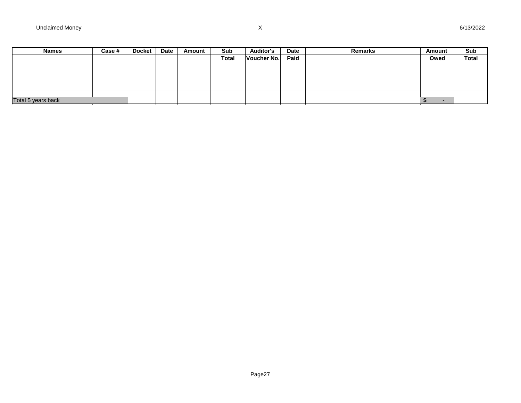| <b>Names</b>       | Case # | <b>Docket</b> | <b>Date</b> | Amount | Sub          | <b>Auditor's</b> | Date | Remarks | Amount | Sub          |
|--------------------|--------|---------------|-------------|--------|--------------|------------------|------|---------|--------|--------------|
|                    |        |               |             |        | <b>Total</b> | Voucher No.      | Paid |         | Owed   | <b>Total</b> |
|                    |        |               |             |        |              |                  |      |         |        |              |
|                    |        |               |             |        |              |                  |      |         |        |              |
|                    |        |               |             |        |              |                  |      |         |        |              |
|                    |        |               |             |        |              |                  |      |         |        |              |
|                    |        |               |             |        |              |                  |      |         |        |              |
| Total 5 years back |        |               |             |        |              |                  |      |         |        |              |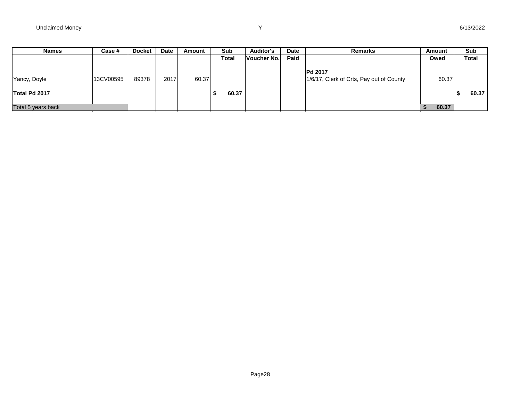| <b>Names</b>       | Case #    | <b>Docket</b> | <b>Date</b> | Amount | Sub          | <b>Auditor's</b> | Date | <b>Remarks</b>                           | Amount | Sub          |
|--------------------|-----------|---------------|-------------|--------|--------------|------------------|------|------------------------------------------|--------|--------------|
|                    |           |               |             |        | <b>Total</b> | Voucher No.      | Paid |                                          | Owed   | <b>Total</b> |
|                    |           |               |             |        |              |                  |      |                                          |        |              |
|                    |           |               |             |        |              |                  |      | <b>Pd 2017</b>                           |        |              |
| Yancy, Doyle       | 13CV00595 | 89378         | 2017        | 60.37  |              |                  |      | 1/6/17, Clerk of Crts, Pay out of County | 60.37  |              |
|                    |           |               |             |        |              |                  |      |                                          |        |              |
| Total Pd 2017      |           |               |             |        | 60.37        |                  |      |                                          |        | 60.37        |
|                    |           |               |             |        |              |                  |      |                                          |        |              |
| Total 5 years back |           |               |             |        |              |                  |      |                                          | 60.37  |              |